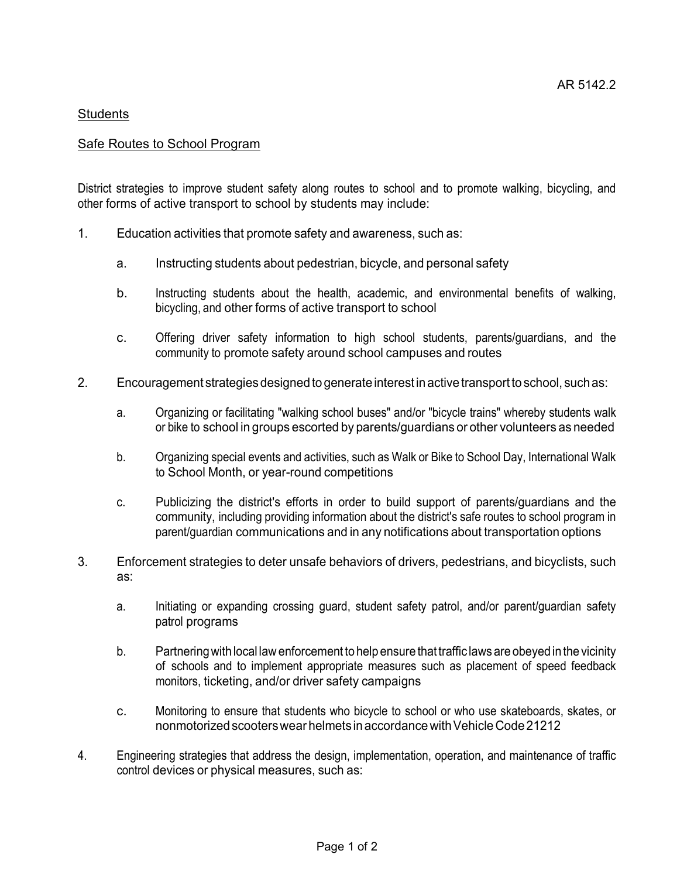## **Students**

## **Safe Routes to School Program**

District strategies to improve student safety along routes to school and to promote walking, bicycling, and other forms of active transport to school by students may include:

- 1. Education activities that promote safety and awareness, such as:
	- a. Instructing students about pedestrian, bicycle, and personal safety
	- b. Instructing students about the health, academic, and environmental benefits of walking, bicycling, and other forms of active transport to school
	- c. Offering driver safety information to high school students, parents/guardians, and the community to promote safety around school campuses and routes
- 2. Encouragement strategiesdesignedto generateinterestinactive transportto school, suchas:
	- a. Organizing or facilitating "walking school buses" and/or "bicycle trains" whereby students walk or bike to school in groups escorted by parents/guardians or other volunteers as needed
	- b. Organizing special events and activities, such as Walk or Bike to School Day, International Walk to School Month, or year-round competitions
	- c. Publicizing the district's efforts in order to build support of parents/guardians and the community, including providing information about the district's safe routes to school program in parent/guardian communications and in any notifications about transportation options
- 3. Enforcement strategies to deter unsafe behaviors of drivers, pedestrians, and bicyclists, such as:
	- a. Initiating or expanding crossing guard, student safety patrol, and/or parent/guardian safety patrol programs
	- b. Partneringwithlocal law enforcement to help ensure that traffic laws are obeyedinthe vicinity of schools and to implement appropriate measures such as placement of speed feedback monitors, ticketing, and/or driver safety campaigns
	- c. Monitoring to ensure that students who bicycle to school or who use skateboards, skates, or nonmotorizedscooterswear helmets inaccordancewithVehicleCode 21212
- 4. Engineering strategies that address the design, implementation, operation, and maintenance of traffic control devices or physical measures, such as: